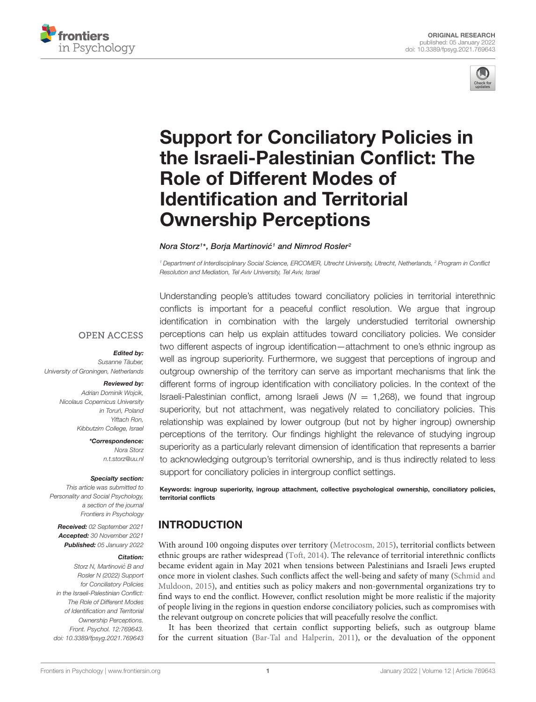



# Support for Conciliatory Policies in [the Israeli-Palestinian Conflict: The](https://www.frontiersin.org/articles/10.3389/fpsyg.2021.769643/full) Role of Different Modes of Identification and Territorial Ownership Perceptions

#### Nora Storz1\*, Borja Martinović1 and Nimrod Rosler<sup>2</sup>

<sup>1</sup> Department of Interdisciplinary Social Science, ERCOMER, Utrecht University, Utrecht, Netherlands, <sup>2</sup> Program in Conflict Resolution and Mediation, Tel Aviv University, Tel Aviv, Israel

#### **OPEN ACCESS**

#### Edited by:

Susanne Täuber, University of Groningen, Netherlands

#### Reviewed by:

Adrian Dominik Wojcik, Nicolaus Copernicus University in Toruń, Poland Yiftach Ron, Kibbutzim College, Israel

> \*Correspondence: Nora Storz n.t.storz@uu.nl

#### Specialty section:

This article was submitted to Personality and Social Psychology, a section of the journal Frontiers in Psychology

Received: 02 September 2021 Accepted: 30 November 2021 Published: 05 January 2022

#### Citation:

Storz N, Martinović B and Rosler N (2022) Support for Conciliatory Policies in the Israeli-Palestinian Conflict: The Role of Different Modes of Identification and Territorial Ownership Perceptions. Front. Psychol. 12:769643. doi: [10.3389/fpsyg.2021.769643](https://doi.org/10.3389/fpsyg.2021.769643)

Understanding people's attitudes toward conciliatory policies in territorial interethnic conflicts is important for a peaceful conflict resolution. We argue that ingroup identification in combination with the largely understudied territorial ownership perceptions can help us explain attitudes toward conciliatory policies. We consider two different aspects of ingroup identification—attachment to one's ethnic ingroup as well as ingroup superiority. Furthermore, we suggest that perceptions of ingroup and outgroup ownership of the territory can serve as important mechanisms that link the different forms of ingroup identification with conciliatory policies. In the context of the Israeli-Palestinian conflict, among Israeli Jews ( $N = 1,268$ ), we found that ingroup superiority, but not attachment, was negatively related to conciliatory policies. This relationship was explained by lower outgroup (but not by higher ingroup) ownership perceptions of the territory. Our findings highlight the relevance of studying ingroup superiority as a particularly relevant dimension of identification that represents a barrier to acknowledging outgroup's territorial ownership, and is thus indirectly related to less support for conciliatory policies in intergroup conflict settings.

Keywords: ingroup superiority, ingroup attachment, collective psychological ownership, conciliatory policies, territorial conflicts

# **INTRODUCTION**

With around 100 ongoing disputes over territory [\(Metrocosm,](#page-9-0) [2015\)](#page-9-0), territorial conflicts between ethnic groups are rather widespread [\(Toft,](#page-10-0) [2014\)](#page-10-0). The relevance of territorial interethnic conflicts became evident again in May 2021 when tensions between Palestinians and Israeli Jews erupted once more in violent clashes. Such conflicts affect the well-being and safety of many [\(Schmid and](#page-10-1) [Muldoon,](#page-10-1) [2015\)](#page-10-1), and entities such as policy makers and non-governmental organizations try to find ways to end the conflict. However, conflict resolution might be more realistic if the majority of people living in the regions in question endorse conciliatory policies, such as compromises with the relevant outgroup on concrete policies that will peacefully resolve the conflict.

It has been theorized that certain conflict supporting beliefs, such as outgroup blame for the current situation [\(Bar-Tal and Halperin,](#page-9-1) [2011\)](#page-9-1), or the devaluation of the opponent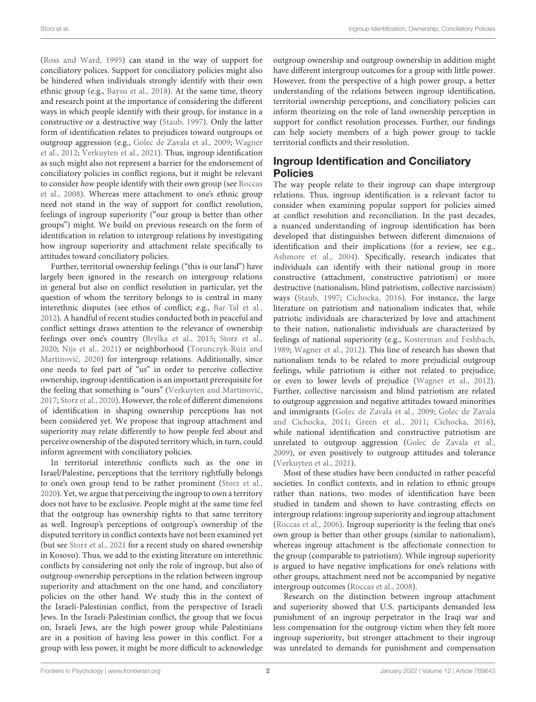[\(Ross and Ward,](#page-9-2) [1995\)](#page-9-2) can stand in the way of support for conciliatory polices. Support for conciliatory policies might also be hindered when individuals strongly identify with their own ethnic group (e.g., [Baysu et al.,](#page-9-3) [2018\)](#page-9-3). At the same time, theory and research point at the importance of considering the different ways in which people identify with their group, for instance in a constructive or a destructive way [\(Staub,](#page-10-2) [1997\)](#page-10-2). Only the latter form of identification relates to prejudices toward outgroups or outgroup aggression (e.g., [Golec de Zavala et al.,](#page-9-4) [2009;](#page-9-4) [Wagner](#page-10-3) [et al.,](#page-10-3) [2012;](#page-10-3) [Verkuyten et al.,](#page-10-4) [2021\)](#page-10-4). Thus, ingroup identification as such might also not represent a barrier for the endorsement of conciliatory policies in conflict regions, but it might be relevant to consider how people identify with their own group (see [Roccas](#page-9-5) [et al.,](#page-9-5) [2008\)](#page-9-5). Whereas mere attachment to one's ethnic group need not stand in the way of support for conflict resolution, feelings of ingroup superiority ("our group is better than other groups") might. We build on previous research on the form of identification in relation to intergroup relations by investigating how ingroup superiority and attachment relate specifically to attitudes toward conciliatory policies.

Further, territorial ownership feelings ("this is our land") have largely been ignored in the research on intergroup relations in general but also on conflict resolution in particular, yet the question of whom the territory belongs to is central in many interethnic disputes (see ethos of conflict; e.g., [Bar-Tal et al.,](#page-9-6) [2012\)](#page-9-6). A handful of recent studies conducted both in peaceful and conflict settings draws attention to the relevance of ownership feelings over one's country [\(Brylka et al.,](#page-9-7) [2015;](#page-9-7) [Storz et al.,](#page-10-5) [2020;](#page-10-5) [Nijs et al.,](#page-9-8) [2021\)](#page-9-8) or neighborhood [\(Torunczyk-Ruiz and](#page-10-6) Martinović, [2020\)](#page-10-6) for intergroup relations. Additionally, since one needs to feel part of "us" in order to perceive collective ownership, ingroup identification is an important prerequisite for the feeling that something is "ours" (Verkuyten and Martinović, [2017;](#page-10-7) [Storz et al.,](#page-10-5) [2020\)](#page-10-5). However, the role of different dimensions of identification in shaping ownership perceptions has not been considered yet. We propose that ingroup attachment and superiority may relate differently to how people feel about and perceive ownership of the disputed territory which, in turn, could inform agreement with conciliatory policies.

In territorial interethnic conflicts such as the one in Israel/Palestine, perceptions that the territory rightfully belongs to one's own group tend to be rather prominent [\(Storz et al.,](#page-10-5) [2020\)](#page-10-5). Yet, we argue that perceiving the ingroup to own a territory does not have to be exclusive. People might at the same time feel that the outgroup has ownership rights to that same territory as well. Ingroup's perceptions of outgroup's ownership of the disputed territory in conflict contexts have not been examined yet (but see [Storz et al.,](#page-10-8) [2021](#page-10-8) for a recent study on shared ownership in Kosovo). Thus, we add to the existing literature on interethnic conflicts by considering not only the role of ingroup, but also of outgroup ownership perceptions in the relation between ingroup superiority and attachment on the one hand, and conciliatory policies on the other hand. We study this in the context of the Israeli-Palestinian conflict, from the perspective of Israeli Jews. In the Israeli-Palestinian conflict, the group that we focus on, Israeli Jews, are the high power group while Palestinians are in a position of having less power in this conflict. For a group with less power, it might be more difficult to acknowledge

outgroup ownership and outgroup ownership in addition might have different intergroup outcomes for a group with little power. However, from the perspective of a high power group, a better understanding of the relations between ingroup identification, territorial ownership perceptions, and conciliatory policies can inform theorizing on the role of land ownership perception in support for conflict resolution processes. Further, our findings can help society members of a high power group to tackle territorial conflicts and their resolution.

## Ingroup Identification and Conciliatory Policies

The way people relate to their ingroup can shape intergroup relations. Thus, ingroup identification is a relevant factor to consider when examining popular support for policies aimed at conflict resolution and reconciliation. In the past decades, a nuanced understanding of ingroup identification has been developed that distinguishes between different dimensions of identification and their implications (for a review, see e.g., [Ashmore et al.,](#page-9-9) [2004\)](#page-9-9). Specifically, research indicates that individuals can identify with their national group in more constructive (attachment, constructive patriotism) or more destructive (nationalism, blind patriotism, collective narcissism) ways [\(Staub,](#page-10-2) [1997;](#page-10-2) [Cichocka,](#page-9-10) [2016\)](#page-9-10). For instance, the large literature on patriotism and nationalism indicates that, while patriotic individuals are characterized by love and attachment to their nation, nationalistic individuals are characterized by feelings of national superiority (e.g., [Kosterman and Feshbach,](#page-9-11) [1989;](#page-9-11) [Wagner et al.,](#page-10-3) [2012\)](#page-10-3). This line of research has shown that nationalism tends to be related to more prejudicial outgroup feelings, while patriotism is either not related to prejudice, or even to lower levels of prejudice [\(Wagner et al.,](#page-10-3) [2012\)](#page-10-3). Further, collective narcissism and blind patriotism are related to outgroup aggression and negative attitudes toward minorities and immigrants [\(Golec de Zavala et al.,](#page-9-4) [2009;](#page-9-4) [Golec de Zavala](#page-9-12) [and Cichocka,](#page-9-12) [2011;](#page-9-12) [Green et al.,](#page-9-13) [2011;](#page-9-13) [Cichocka,](#page-9-10) [2016\)](#page-9-10), while national identification and constructive patriotism are unrelated to outgroup aggression [\(Golec de Zavala et al.,](#page-9-4) [2009\)](#page-9-4), or even positively to outgroup attitudes and tolerance [\(Verkuyten et al.,](#page-10-4) [2021\)](#page-10-4).

Most of these studies have been conducted in rather peaceful societies. In conflict contexts, and in relation to ethnic groups rather than nations, two modes of identification have been studied in tandem and shown to have contrasting effects on intergroup relations: ingroup superiority and ingroup attachment [\(Roccas et al.,](#page-9-14) [2006\)](#page-9-14). Ingroup superiority is the feeling that one's own group is better than other groups (similar to nationalism), whereas ingroup attachment is the affectionate connection to the group (comparable to patriotism). While ingroup superiority is argued to have negative implications for one's relations with other groups, attachment need not be accompanied by negative intergroup outcomes [\(Roccas et al.,](#page-9-5) [2008\)](#page-9-5).

Research on the distinction between ingroup attachment and superiority showed that U.S. participants demanded less punishment of an ingroup perpetrator in the Iraqi war and less compensation for the outgroup victim when they felt more ingroup superiority, but stronger attachment to their ingroup was unrelated to demands for punishment and compensation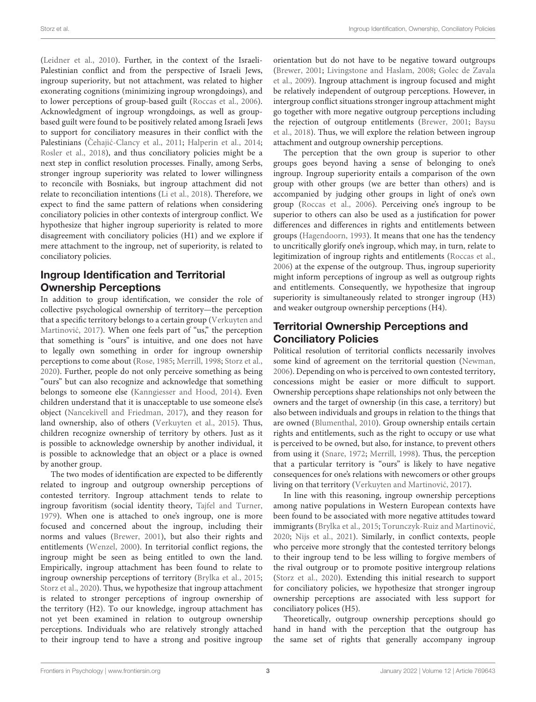[\(Leidner et al.,](#page-9-15) [2010\)](#page-9-15). Further, in the context of the Israeli-Palestinian conflict and from the perspective of Israeli Jews, ingroup superiority, but not attachment, was related to higher exonerating cognitions (minimizing ingroup wrongdoings), and to lower perceptions of group-based guilt [\(Roccas et al.,](#page-9-14) [2006\)](#page-9-14). Acknowledgment of ingroup wrongdoings, as well as groupbased guilt were found to be positively related among Israeli Jews to support for conciliatory measures in their conflict with the Palestinians (Cehajić-Clancy et al., [2011;](#page-9-16) [Halperin et al.,](#page-9-17) [2014;](#page-9-17) [Rosler et al.,](#page-9-18) [2018\)](#page-9-18), and thus conciliatory policies might be a next step in conflict resolution processes. Finally, among Serbs, stronger ingroup superiority was related to lower willingness to reconcile with Bosniaks, but ingroup attachment did not relate to reconciliation intentions [\(Li et al.,](#page-9-19) [2018\)](#page-9-19). Therefore, we expect to find the same pattern of relations when considering conciliatory policies in other contexts of intergroup conflict. We hypothesize that higher ingroup superiority is related to more disagreement with conciliatory policies (H1) and we explore if mere attachment to the ingroup, net of superiority, is related to conciliatory policies.

## Ingroup Identification and Territorial Ownership Perceptions

In addition to group identification, we consider the role of collective psychological ownership of territory—the perception that a specific territory belongs to a certain group [\(Verkuyten and](#page-10-7) Martinović, [2017\)](#page-10-7). When one feels part of "us," the perception that something is "ours" is intuitive, and one does not have to legally own something in order for ingroup ownership perceptions to come about [\(Rose,](#page-9-20) [1985;](#page-9-20) [Merrill,](#page-9-21) [1998;](#page-9-21) [Storz et al.,](#page-10-5) [2020\)](#page-10-5). Further, people do not only perceive something as being "ours" but can also recognize and acknowledge that something belongs to someone else [\(Kanngiesser and Hood,](#page-9-22) [2014\)](#page-9-22). Even children understand that it is unacceptable to use someone else's object [\(Nancekivell and Friedman,](#page-9-23) [2017\)](#page-9-23), and they reason for land ownership, also of others [\(Verkuyten et al.,](#page-10-9) [2015\)](#page-10-9). Thus, children recognize ownership of territory by others. Just as it is possible to acknowledge ownership by another individual, it is possible to acknowledge that an object or a place is owned by another group.

The two modes of identification are expected to be differently related to ingroup and outgroup ownership perceptions of contested territory. Ingroup attachment tends to relate to ingroup favoritism (social identity theory, [Tajfel and Turner,](#page-10-10) [1979\)](#page-10-10). When one is attached to one's ingroup, one is more focused and concerned about the ingroup, including their norms and values [\(Brewer,](#page-9-24) [2001\)](#page-9-24), but also their rights and entitlements [\(Wenzel,](#page-10-11) [2000\)](#page-10-11). In territorial conflict regions, the ingroup might be seen as being entitled to own the land. Empirically, ingroup attachment has been found to relate to ingroup ownership perceptions of territory [\(Brylka et al.,](#page-9-7) [2015;](#page-9-7) [Storz et al.,](#page-10-5) [2020\)](#page-10-5). Thus, we hypothesize that ingroup attachment is related to stronger perceptions of ingroup ownership of the territory (H2). To our knowledge, ingroup attachment has not yet been examined in relation to outgroup ownership perceptions. Individuals who are relatively strongly attached to their ingroup tend to have a strong and positive ingroup

orientation but do not have to be negative toward outgroups [\(Brewer,](#page-9-24) [2001;](#page-9-24) [Livingstone and Haslam,](#page-9-25) [2008;](#page-9-25) [Golec de Zavala](#page-9-4) [et al.,](#page-9-4) [2009\)](#page-9-4). Ingroup attachment is ingroup focused and might be relatively independent of outgroup perceptions. However, in intergroup conflict situations stronger ingroup attachment might go together with more negative outgroup perceptions including the rejection of outgroup entitlements [\(Brewer,](#page-9-24) [2001;](#page-9-24) [Baysu](#page-9-3) [et al.,](#page-9-3) [2018\)](#page-9-3). Thus, we will explore the relation between ingroup attachment and outgroup ownership perceptions.

The perception that the own group is superior to other groups goes beyond having a sense of belonging to one's ingroup. Ingroup superiority entails a comparison of the own group with other groups (we are better than others) and is accompanied by judging other groups in light of one's own group [\(Roccas et al.,](#page-9-14) [2006\)](#page-9-14). Perceiving one's ingroup to be superior to others can also be used as a justification for power differences and differences in rights and entitlements between groups [\(Hagendoorn,](#page-9-26) [1993\)](#page-9-26). It means that one has the tendency to uncritically glorify one's ingroup, which may, in turn, relate to legitimization of ingroup rights and entitlements [\(Roccas et al.,](#page-9-14) [2006\)](#page-9-14) at the expense of the outgroup. Thus, ingroup superiority might inform perceptions of ingroup as well as outgroup rights and entitlements. Consequently, we hypothesize that ingroup superiority is simultaneously related to stronger ingroup (H3) and weaker outgroup ownership perceptions (H4).

# Territorial Ownership Perceptions and Conciliatory Policies

Political resolution of territorial conflicts necessarily involves some kind of agreement on the territorial question [\(Newman,](#page-9-27) [2006\)](#page-9-27). Depending on who is perceived to own contested territory, concessions might be easier or more difficult to support. Ownership perceptions shape relationships not only between the owners and the target of ownership (in this case, a territory) but also between individuals and groups in relation to the things that are owned [\(Blumenthal,](#page-9-28) [2010\)](#page-9-28). Group ownership entails certain rights and entitlements, such as the right to occupy or use what is perceived to be owned, but also, for instance, to prevent others from using it [\(Snare,](#page-10-12) [1972;](#page-10-12) [Merrill,](#page-9-21) [1998\)](#page-9-21). Thus, the perception that a particular territory is "ours" is likely to have negative consequences for one's relations with newcomers or other groups living on that territory (Verkuyten and Martinović, [2017\)](#page-10-7).

In line with this reasoning, ingroup ownership perceptions among native populations in Western European contexts have been found to be associated with more negative attitudes toward immigrants [\(Brylka et al.,](#page-9-7) [2015;](#page-9-7) Torunczyk-Ruiz and Martinović, [2020;](#page-10-6) [Nijs et al.,](#page-9-8) [2021\)](#page-9-8). Similarly, in conflict contexts, people who perceive more strongly that the contested territory belongs to their ingroup tend to be less willing to forgive members of the rival outgroup or to promote positive intergroup relations [\(Storz et al.,](#page-10-5) [2020\)](#page-10-5). Extending this initial research to support for conciliatory policies, we hypothesize that stronger ingroup ownership perceptions are associated with less support for conciliatory polices (H5).

Theoretically, outgroup ownership perceptions should go hand in hand with the perception that the outgroup has the same set of rights that generally accompany ingroup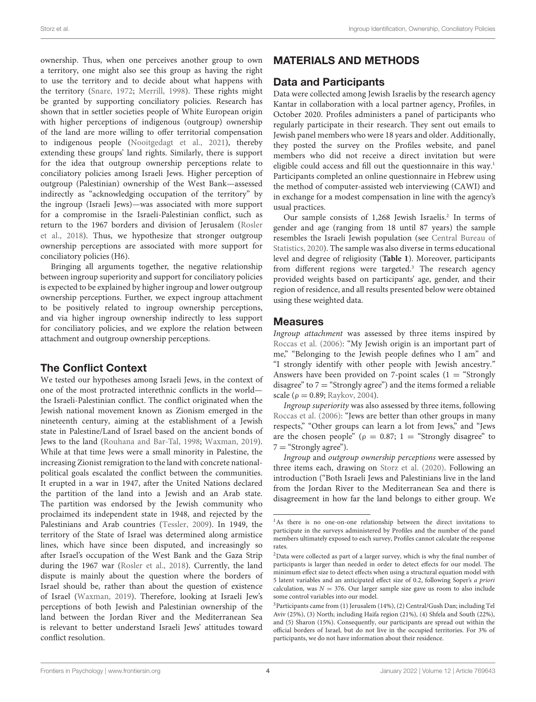ownership. Thus, when one perceives another group to own a territory, one might also see this group as having the right to use the territory and to decide about what happens with the territory [\(Snare,](#page-10-12) [1972;](#page-10-12) [Merrill,](#page-9-21) [1998\)](#page-9-21). These rights might be granted by supporting conciliatory policies. Research has shown that in settler societies people of White European origin with higher perceptions of indigenous (outgroup) ownership of the land are more willing to offer territorial compensation to indigenous people [\(Nooitgedagt et al.,](#page-9-29) [2021\)](#page-9-29), thereby extending these groups' land rights. Similarly, there is support for the idea that outgroup ownership perceptions relate to conciliatory policies among Israeli Jews. Higher perception of outgroup (Palestinian) ownership of the West Bank—assessed indirectly as "acknowledging occupation of the territory" by the ingroup (Israeli Jews)—was associated with more support for a compromise in the Israeli-Palestinian conflict, such as return to the 1967 borders and division of Jerusalem [\(Rosler](#page-9-18) [et al.,](#page-9-18) [2018\)](#page-9-18). Thus, we hypothesize that stronger outgroup ownership perceptions are associated with more support for conciliatory policies (H6).

Bringing all arguments together, the negative relationship between ingroup superiority and support for conciliatory policies is expected to be explained by higher ingroup and lower outgroup ownership perceptions. Further, we expect ingroup attachment to be positively related to ingroup ownership perceptions, and via higher ingroup ownership indirectly to less support for conciliatory policies, and we explore the relation between attachment and outgroup ownership perceptions.

## The Conflict Context

We tested our hypotheses among Israeli Jews, in the context of one of the most protracted interethnic conflicts in the world the Israeli-Palestinian conflict. The conflict originated when the Jewish national movement known as Zionism emerged in the nineteenth century, aiming at the establishment of a Jewish state in Palestine/Land of Israel based on the ancient bonds of Jews to the land [\(Rouhana and Bar-Tal,](#page-10-13) [1998;](#page-10-13) [Waxman,](#page-10-14) [2019\)](#page-10-14). While at that time Jews were a small minority in Palestine, the increasing Zionist remigration to the land with concrete nationalpolitical goals escalated the conflict between the communities. It erupted in a war in 1947, after the United Nations declared the partition of the land into a Jewish and an Arab state. The partition was endorsed by the Jewish community who proclaimed its independent state in 1948, and rejected by the Palestinians and Arab countries [\(Tessler,](#page-10-15) [2009\)](#page-10-15). In 1949, the territory of the State of Israel was determined along armistice lines, which have since been disputed, and increasingly so after Israel's occupation of the West Bank and the Gaza Strip during the 1967 war [\(Rosler et al.,](#page-9-18) [2018\)](#page-9-18). Currently, the land dispute is mainly about the question where the borders of Israel should be, rather than about the question of existence of Israel [\(Waxman,](#page-10-14) [2019\)](#page-10-14). Therefore, looking at Israeli Jew's perceptions of both Jewish and Palestinian ownership of the land between the Jordan River and the Mediterranean Sea is relevant to better understand Israeli Jews' attitudes toward conflict resolution.

# MATERIALS AND METHODS

## Data and Participants

Data were collected among Jewish Israelis by the research agency Kantar in collaboration with a local partner agency, Profiles, in October 2020. Profiles administers a panel of participants who regularly participate in their research. They sent out emails to Jewish panel members who were 18 years and older. Additionally, they posted the survey on the Profiles website, and panel members who did not receive a direct invitation but were eligible could access and fill out the questionnaire in this way.<sup>[1](#page-3-0)</sup> Participants completed an online questionnaire in Hebrew using the method of computer-assisted web interviewing (CAWI) and in exchange for a modest compensation in line with the agency's usual practices.

Our sample consists of 1,[2](#page-3-1)68 Jewish Israelis.<sup>2</sup> In terms of gender and age (ranging from 18 until 87 years) the sample resembles the Israeli Jewish population (see [Central Bureau of](#page-9-30) [Statistics,](#page-9-30) [2020\)](#page-9-30). The sample was also diverse in terms educational level and degree of religiosity (**[Table 1](#page-4-0)**). Moreover, participants from different regions were targeted.<sup>[3](#page-3-2)</sup> The research agency provided weights based on participants' age, gender, and their region of residence, and all results presented below were obtained using these weighted data.

## Measures

Ingroup attachment was assessed by three items inspired by [Roccas et al.](#page-9-14) [\(2006\)](#page-9-14): "My Jewish origin is an important part of me," "Belonging to the Jewish people defines who I am" and "I strongly identify with other people with Jewish ancestry." Answers have been provided on 7-point scales  $(1 = "Strongly")$ disagree" to  $7 =$  "Strongly agree") and the items formed a reliable scale ( $ρ = 0.89$ ; [Raykov,](#page-9-31) [2004\)](#page-9-31).

Ingroup superiority was also assessed by three items, following [Roccas et al.](#page-9-14) [\(2006\)](#page-9-14): "Jews are better than other groups in many respects," "Other groups can learn a lot from Jews," and "Jews are the chosen people" ( $\rho = 0.87$ ; 1 = "Strongly disagree" to  $7 =$  "Strongly agree").

Ingroup and outgroup ownership perceptions were assessed by three items each, drawing on [Storz et al.](#page-10-5) [\(2020\)](#page-10-5). Following an introduction ("Both Israeli Jews and Palestinians live in the land from the Jordan River to the Mediterranean Sea and there is disagreement in how far the land belongs to either group. We

<span id="page-3-0"></span><sup>&</sup>lt;sup>1</sup>As there is no one-on-one relationship between the direct invitations to participate in the surveys administered by Profiles and the number of the panel members ultimately exposed to each survey, Profiles cannot calculate the response rates.

<span id="page-3-1"></span> $2$ Data were collected as part of a larger survey, which is why the final number of participants is larger than needed in order to detect effects for our model. The minimum effect size to detect effects when using a structural equation model with 5 latent variables and an anticipated effect size of 0.2, following Soper's a priori calculation, was  $N = 376$ . Our larger sample size gave us room to also include some control variables into our model.

<span id="page-3-2"></span><sup>3</sup>Participants came from (1) Jerusalem (14%), (2) Central/Gush Dan; including Tel Aviv (25%), (3) North; including Haifa region (21%), (4) Shfela and South (22%), and (5) Sharon (15%). Consequently, our participants are spread out within the official borders of Israel, but do not live in the occupied territories. For 3% of participants, we do not have information about their residence.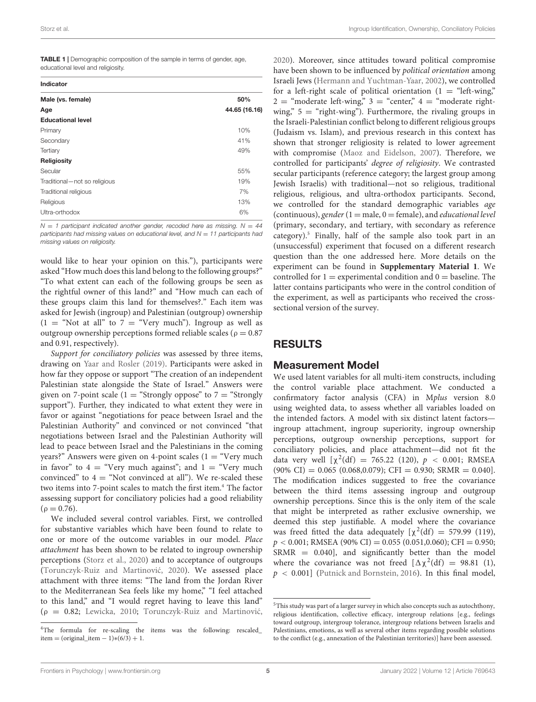<span id="page-4-0"></span>

| TABLE 1   Demographic composition of the sample in terms of gender, age, |  |
|--------------------------------------------------------------------------|--|
| educational level and religiosity.                                       |  |

| $\ddot{\phantom{0}}$<br>$\overline{\phantom{a}}$ |  |
|--------------------------------------------------|--|

| murvatvi                     |               |
|------------------------------|---------------|
| Male (vs. female)            | 50%           |
| Age                          | 44.65 (16.16) |
| <b>Educational level</b>     |               |
| Primary                      | 10%           |
| Secondary                    | 41%           |
| Tertiary                     | 49%           |
| Religiosity                  |               |
| Secular                      | 55%           |
| Traditional-not so religious | 19%           |
| Traditional religious        | 7%            |
| Religious                    | 13%           |
| Ultra-orthodox               | 6%            |

 $N = 1$  participant indicated another gender, recoded here as missing.  $N = 44$ participants had missing values on educational level, and  $N = 11$  participants had missing values on religiosity.

would like to hear your opinion on this."), participants were asked "How much does this land belong to the following groups?" "To what extent can each of the following groups be seen as the rightful owner of this land?" and "How much can each of these groups claim this land for themselves?." Each item was asked for Jewish (ingroup) and Palestinian (outgroup) ownership  $(1 = "Not at all" to 7 = "Very much"). Ingroup as well as$ outgroup ownership perceptions formed reliable scales ( $\rho = 0.87$ and 0.91, respectively).

Support for conciliatory policies was assessed by three items, drawing on [Yaar and Rosler](#page-10-16) [\(2019\)](#page-10-16). Participants were asked in how far they oppose or support "The creation of an independent Palestinian state alongside the State of Israel." Answers were given on 7-point scale (1 = "Strongly oppose" to  $7 =$  "Strongly support"). Further, they indicated to what extent they were in favor or against "negotiations for peace between Israel and the Palestinian Authority" and convinced or not convinced "that negotiations between Israel and the Palestinian Authority will lead to peace between Israel and the Palestinians in the coming years?" Answers were given on 4-point scales  $(1 = "Very much)$ in favor" to  $4 =$  "Very much against"; and  $1 =$  "Very much convinced" to  $4 =$  "Not convinced at all"). We re-scaled these two items into 7-point scales to match the first item.<sup>[4](#page-4-1)</sup> The factor assessing support for conciliatory policies had a good reliability  $(\rho = 0.76)$ .

We included several control variables. First, we controlled for substantive variables which have been found to relate to one or more of the outcome variables in our model. Place attachment has been shown to be related to ingroup ownership perceptions [\(Storz et al.,](#page-10-5) [2020\)](#page-10-5) and to acceptance of outgroups (Torunczyk-Ruiz and Martinović, [2020\)](#page-10-6). We assessed place attachment with three items: "The land from the Jordan River to the Mediterranean Sea feels like my home," "I feel attached to this land," and "I would regret having to leave this land" ( $\rho = 0.82$ ; [Lewicka,](#page-9-32) [2010;](#page-9-32) Torunczyk-Ruiz and Martinović, [2020\)](#page-10-6). Moreover, since attitudes toward political compromise have been shown to be influenced by political orientation among Israeli Jews [\(Hermann and Yuchtman-Yaar,](#page-9-33) [2002\)](#page-9-33), we controlled for a left-right scale of political orientation  $(1 - \text{``left-wing''})$  $2 = \text{``moderate left}$ -wing,"  $3 = \text{``center''}$   $4 = \text{``moderate right}$ wing,"  $5 =$  "right-wing"). Furthermore, the rivaling groups in the Israeli-Palestinian conflict belong to different religious groups (Judaism vs. Islam), and previous research in this context has shown that stronger religiosity is related to lower agreement with compromise [\(Maoz and Eidelson,](#page-9-34) [2007\)](#page-9-34). Therefore, we controlled for participants' degree of religiosity. We contrasted secular participants (reference category; the largest group among Jewish Israelis) with traditional—not so religious, traditional religious, religious, and ultra-orthodox participants. Second, we controlled for the standard demographic variables age (continuous), gender  $(1 = male, 0 = female)$ , and educational level (primary, secondary, and tertiary, with secondary as reference category).<sup>[5](#page-4-2)</sup> Finally, half of the sample also took part in an (unsuccessful) experiment that focused on a different research question than the one addressed here. More details on the experiment can be found in **[Supplementary Material 1](#page-8-0)**. We controlled for  $1 =$  experimental condition and  $0 =$  baseline. The latter contains participants who were in the control condition of the experiment, as well as participants who received the crosssectional version of the survey.

#### RESULTS

#### Measurement Model

We used latent variables for all multi-item constructs, including the control variable place attachment. We conducted a confirmatory factor analysis (CFA) in Mplus version 8.0 using weighted data, to assess whether all variables loaded on the intended factors. A model with six distinct latent factors ingroup attachment, ingroup superiority, ingroup ownership perceptions, outgroup ownership perceptions, support for conciliatory policies, and place attachment—did not fit the data very well  $[\chi^2(df) = 765.22$  (120),  $p < 0.001$ ; RMSEA  $(90\% \text{ CI}) = 0.065 (0.068, 0.079); \text{CFI} = 0.930; \text{SRMR} = 0.040].$ The modification indices suggested to free the covariance between the third items assessing ingroup and outgroup ownership perceptions. Since this is the only item of the scale that might be interpreted as rather exclusive ownership, we deemed this step justifiable. A model where the covariance was freed fitted the data adequately  $[\chi^2(df) = 579.99$  (119),  $p < 0.001$ ; RMSEA (90% CI) = 0.055 (0.051,0.060); CFI = 0.950; SRMR = 0.040], and significantly better than the model where the covariance was not freed  $[\Delta \chi^2(df) = 98.81(1)$ ,  $p < 0.001$ ] [\(Putnick and Bornstein,](#page-9-35) [2016\)](#page-9-35). In this final model,

<span id="page-4-1"></span><sup>4</sup>The formula for re-scaling the items was the following: rescaled\_  $item = (original\_item - 1)*(6/3) + 1.$ 

<span id="page-4-2"></span><sup>5</sup>This study was part of a larger survey in which also concepts such as autochthony, religious identification, collective efficacy, intergroup relations [e.g., feelings toward outgroup, intergroup tolerance, intergroup relations between Israelis and Palestinians, emotions, as well as several other items regarding possible solutions to the conflict (e.g., annexation of the Palestinian territories)] have been assessed.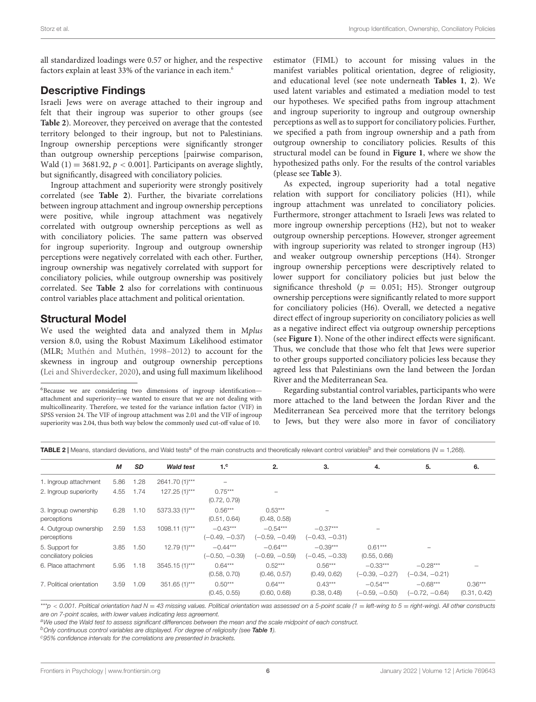all standardized loadings were 0.57 or higher, and the respective factors explain at least 33% of the variance in each item.<sup>[6](#page-5-0)</sup>

## Descriptive Findings

Israeli Jews were on average attached to their ingroup and felt that their ingroup was superior to other groups (see **[Table 2](#page-5-1)**). Moreover, they perceived on average that the contested territory belonged to their ingroup, but not to Palestinians. Ingroup ownership perceptions were significantly stronger than outgroup ownership perceptions [pairwise comparison, Wald  $(1) = 3681.92$ ,  $p < 0.001$ ]. Participants on average slightly, but significantly, disagreed with conciliatory policies.

Ingroup attachment and superiority were strongly positively correlated (see **[Table 2](#page-5-1)**). Further, the bivariate correlations between ingroup attachment and ingroup ownership perceptions were positive, while ingroup attachment was negatively correlated with outgroup ownership perceptions as well as with conciliatory policies. The same pattern was observed for ingroup superiority. Ingroup and outgroup ownership perceptions were negatively correlated with each other. Further, ingroup ownership was negatively correlated with support for conciliatory policies, while outgroup ownership was positively correlated. See **[Table 2](#page-5-1)** also for correlations with continuous control variables place attachment and political orientation.

## Structural Model

We used the weighted data and analyzed them in Mplus version 8.0, using the Robust Maximum Likelihood estimator (MLR; [Muthén and Muthén,](#page-9-36) [1998–2012\)](#page-9-36) to account for the skewness in ingroup and outgroup ownership perceptions [\(Lei and Shiverdecker,](#page-9-37) [2020\)](#page-9-37), and using full maximum likelihood estimator (FIML) to account for missing values in the manifest variables political orientation, degree of religiosity, and educational level (see note underneath **[Tables 1](#page-4-0)**, **[2](#page-5-1)**). We used latent variables and estimated a mediation model to test our hypotheses. We specified paths from ingroup attachment and ingroup superiority to ingroup and outgroup ownership perceptions as well as to support for conciliatory policies. Further, we specified a path from ingroup ownership and a path from outgroup ownership to conciliatory policies. Results of this structural model can be found in **[Figure 1](#page-6-0)**, where we show the hypothesized paths only. For the results of the control variables (please see **[Table 3](#page-6-1)**).

As expected, ingroup superiority had a total negative relation with support for conciliatory policies (H1), while ingroup attachment was unrelated to conciliatory policies. Furthermore, stronger attachment to Israeli Jews was related to more ingroup ownership perceptions (H2), but not to weaker outgroup ownership perceptions. However, stronger agreement with ingroup superiority was related to stronger ingroup (H3) and weaker outgroup ownership perceptions (H4). Stronger ingroup ownership perceptions were descriptively related to lower support for conciliatory policies but just below the significance threshold ( $p = 0.051$ ; H5). Stronger outgroup ownership perceptions were significantly related to more support for conciliatory policies (H6). Overall, we detected a negative direct effect of ingroup superiority on conciliatory policies as well as a negative indirect effect via outgroup ownership perceptions (see **[Figure 1](#page-6-0)**). None of the other indirect effects were significant. Thus, we conclude that those who felt that Jews were superior to other groups supported conciliatory policies less because they agreed less that Palestinians own the land between the Jordan River and the Mediterranean Sea.

Regarding substantial control variables, participants who were more attached to the land between the Jordan River and the Mediterranean Sea perceived more that the territory belongs to Jews, but they were also more in favor of conciliatory

<span id="page-5-1"></span>**TABLE 2** | Means, standard deviations, and Wald tests<sup>a</sup> of the main constructs and theoretically relevant control variables<sup>b</sup> and their correlations (N = 1,268).

|                                         | М    | <b>SD</b> | <b>Wald test</b> | 1 <sup>c</sup>                 | 2.                             | 3.                             | 4.                             | 5.                             | 6.                        |
|-----------------------------------------|------|-----------|------------------|--------------------------------|--------------------------------|--------------------------------|--------------------------------|--------------------------------|---------------------------|
| 1. Ingroup attachment                   | 5.86 | 1.28      | 2641.70 (1)***   | -                              |                                |                                |                                |                                |                           |
| 2. Ingroup superiority                  | 4.55 | 1.74      | $127.25(1)***$   | $0.75***$<br>(0.72, 0.79)      |                                |                                |                                |                                |                           |
| 3. Ingroup ownership<br>perceptions     | 6.28 | 1.10      | 5373.33 (1)***   | $0.56***$<br>(0.51, 0.64)      | $0.53***$<br>(0.48, 0.58)      |                                |                                |                                |                           |
| 4. Outgroup ownership<br>perceptions    | 2.59 | 1.53      | $1098.11(1)***$  | $-0.43***$<br>$(-0.49, -0.37)$ | $-0.54***$<br>$(-0.59, -0.49)$ | $-0.37***$<br>(-0.43, -0.31)   |                                |                                |                           |
| 5. Support for<br>conciliatory policies | 3.85 | 1.50      | $12.79(1)***$    | $-0.44***$<br>$(-0.50, -0.39)$ | $-0.64***$<br>$(-0.69, -0.59)$ | $-0.39***$<br>$(-0.45, -0.33)$ | $0.61***$<br>(0.55, 0.66)      |                                |                           |
| 6. Place attachment                     | 5.95 | 1.18      | 3545.15 (1)***   | $0.64***$<br>(0.58, 0.70)      | $0.52***$<br>(0.46, 0.57)      | $0.56***$<br>(0.49, 0.62)      | $-0.33***$<br>$(-0.39, -0.27)$ | $-0.28***$<br>$(-0.34, -0.21)$ |                           |
| 7. Political orientation                | 3.59 | 1.09      | 351.65 (1)***    | $0.50***$<br>(0.45, 0.55)      | $0.64***$<br>(0.60, 0.68)      | $0.43***$<br>(0.38, 0.48)      | $-0.54***$<br>$(-0.59, -0.50)$ | $-0.68***$<br>$(-0.72, -0.64)$ | $0.36***$<br>(0.31, 0.42) |

\*\*\*p < 0.001. Political orientation had N = 43 missing values. Political orientation was assessed on a 5-point scale (1 = left-wing to 5 = right-wing). All other constructs are on 7-point scales, with lower values indicating less agreement.

aWe used the Wald test to assess significant differences between the mean and the scale midpoint of each construct.

b Only continuous control variables are displayed. For degree of religiosity (see [Table 1](#page-4-0)).

<sup>c</sup>95% confidence intervals for the correlations are presented in brackets.

<span id="page-5-0"></span> $6B$ ecause we are considering two dimensions of ingroup identificationattachment and superiority—we wanted to ensure that we are not dealing with multicollinearity. Therefore, we tested for the variance inflation factor (VIF) in SPSS version 24. The VIF of ingroup attachment was 2.01 and the VIF of ingroup superiority was 2.04, thus both way below the commonly used cut-off value of 10.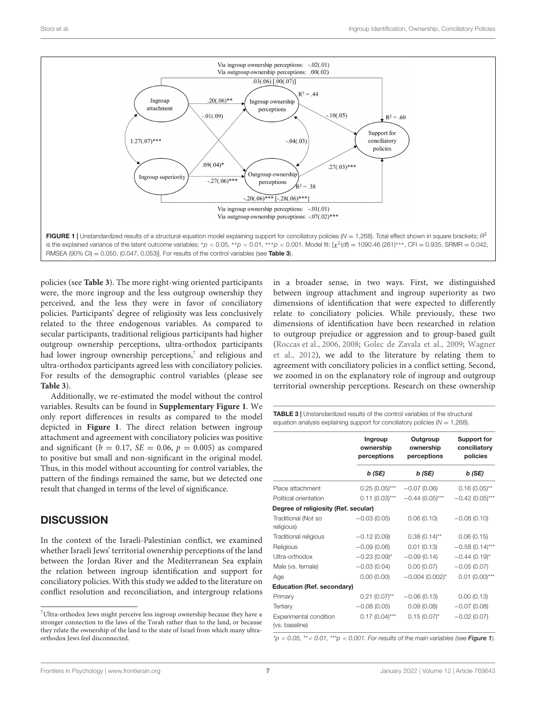

<span id="page-6-0"></span>policies (see **[Table 3](#page-6-1)**). The more right-wing oriented participants were, the more ingroup and the less outgroup ownership they perceived, and the less they were in favor of conciliatory policies. Participants' degree of religiosity was less conclusively related to the three endogenous variables. As compared to secular participants, traditional religious participants had higher outgroup ownership perceptions, ultra-orthodox participants had lower ingroup ownership perceptions,<sup>[7](#page-6-2)</sup> and religious and ultra-orthodox participants agreed less with conciliatory policies. For results of the demographic control variables (please see **[Table 3](#page-6-1)**).

Additionally, we re-estimated the model without the control variables. Results can be found in **[Supplementary Figure 1](#page-8-0)**. We only report differences in results as compared to the model depicted in **[Figure 1](#page-6-0)**. The direct relation between ingroup attachment and agreement with conciliatory policies was positive and significant ( $b = 0.17$ ,  $SE = 0.06$ ,  $p = 0.005$ ) as compared to positive but small and non-significant in the original model. Thus, in this model without accounting for control variables, the pattern of the findings remained the same, but we detected one result that changed in terms of the level of significance.

## **DISCUSSION**

In the context of the Israeli-Palestinian conflict, we examined whether Israeli Jews' territorial ownership perceptions of the land between the Jordan River and the Mediterranean Sea explain the relation between ingroup identification and support for conciliatory policies. With this study we added to the literature on conflict resolution and reconciliation, and intergroup relations

in a broader sense, in two ways. First, we distinguished between ingroup attachment and ingroup superiority as two dimensions of identification that were expected to differently relate to conciliatory policies. While previously, these two dimensions of identification have been researched in relation to outgroup prejudice or aggression and to group-based guilt [\(Roccas et al.,](#page-9-14) [2006,](#page-9-14) [2008;](#page-9-5) [Golec de Zavala et al.,](#page-9-4) [2009;](#page-9-4) [Wagner](#page-10-3) [et al.,](#page-10-3) [2012\)](#page-10-3), we add to the literature by relating them to agreement with conciliatory policies in a conflict setting. Second, we zoomed in on the explanatory role of ingroup and outgroup territorial ownership perceptions. Research on these ownership

<span id="page-6-1"></span>

| <b>TABLE 3</b>   Unstandardized results of the control variables of the structural |
|------------------------------------------------------------------------------------|
| equation analysis explaining support for conciliatory policies ( $N = 1,268$ ).    |

|                                          | Ingroup<br>ownership<br>perceptions | Outgroup<br>ownership<br>perceptions | <b>Support for</b><br>conciliatory<br>policies |  |
|------------------------------------------|-------------------------------------|--------------------------------------|------------------------------------------------|--|
|                                          | b (SE)                              | b (SE)                               | b (SE)                                         |  |
| Place attachment                         | $0.25(0.05)$ ***                    | $-0.07(0.06)$                        | $0.16(0.05)$ **                                |  |
| Political orientation                    | $0.11(0.03)***$                     | $-0.44(0.05)***$                     | $-0.42$ (0.05)***                              |  |
| Degree of religiosity (Ref. secular)     |                                     |                                      |                                                |  |
| Traditional (Not so<br>religious)        | $-0.03(0.05)$                       | 0.06(0.10)                           | $-0.08(0.10)$                                  |  |
| Traditional religious                    | $-0.12(0.09)$                       | $0.38(0.14)$ **                      | 0.06(0.15)                                     |  |
| Religious                                | $-0.09(0.06)$                       | 0.01(0.13)                           | $-0.58(0.14)$ ***                              |  |
| Ultra-orthodox                           | $-0.23(0.09)^{*}$                   | $-0.09(0.14)$                        | $-0.44(0.19)^{*}$                              |  |
| Male (vs. female)                        | $-0.03(0.04)$                       | 0.00(0.07)                           | $-0.05(0.07)$                                  |  |
| Age                                      | 0.00(0.00)                          | $-0.004(0.002)^{*}$                  | $0.01$ $(0.00)$ ***                            |  |
| <b>Education (Ref. secondary)</b>        |                                     |                                      |                                                |  |
| Primary                                  | $0.21(0.07)$ **                     | $-0.06(0.13)$                        | 0.00(0.13)                                     |  |
| Tertiary                                 | $-0.08(0.05)$                       | 0.09(0.08)                           | $-0.07(0.08)$                                  |  |
| Experimental condition<br>(vs. baseline) | $0.17(0.04)$ ***                    | $0.15(0.07)^{*}$                     | $-0.02(0.07)$                                  |  |

 $p < 0.05$ , \*\* < 0.01, \*\*\*  $p < 0.001$ . For results of the main variables (see [Figure 1](#page-6-0)).

<span id="page-6-2"></span><sup>7</sup>Ultra-orthodox Jews might perceive less ingroup ownership because they have a stronger connection to the laws of the Torah rather than to the land, or because they relate the ownership of the land to the state of Israel from which many ultraorthodox Jews feel disconnected.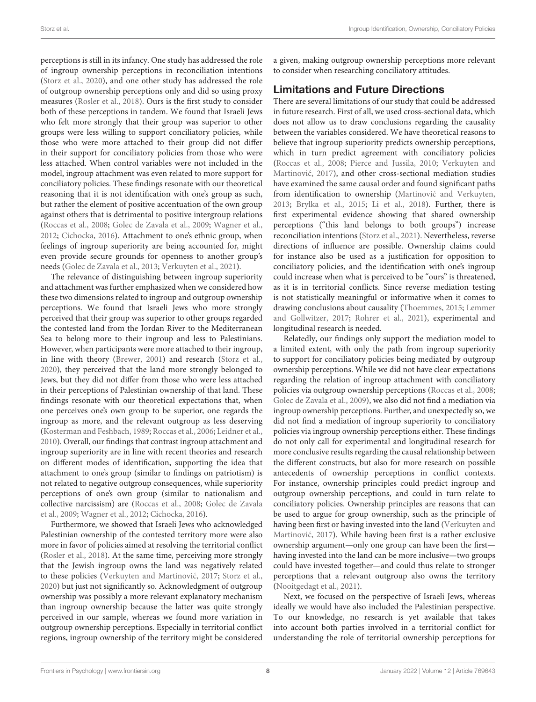perceptions is still in its infancy. One study has addressed the role of ingroup ownership perceptions in reconciliation intentions [\(Storz et al.,](#page-10-5) [2020\)](#page-10-5), and one other study has addressed the role of outgroup ownership perceptions only and did so using proxy measures [\(Rosler et al.,](#page-9-18) [2018\)](#page-9-18). Ours is the first study to consider both of these perceptions in tandem. We found that Israeli Jews who felt more strongly that their group was superior to other groups were less willing to support conciliatory policies, while those who were more attached to their group did not differ in their support for conciliatory policies from those who were less attached. When control variables were not included in the model, ingroup attachment was even related to more support for conciliatory policies. These findings resonate with our theoretical reasoning that it is not identification with one's group as such, but rather the element of positive accentuation of the own group against others that is detrimental to positive intergroup relations [\(Roccas et al.,](#page-9-5) [2008;](#page-9-5) [Golec de Zavala et al.,](#page-9-4) [2009;](#page-9-4) [Wagner et al.,](#page-10-3) [2012;](#page-10-3) [Cichocka,](#page-9-10) [2016\)](#page-9-10). Attachment to one's ethnic group, when feelings of ingroup superiority are being accounted for, might even provide secure grounds for openness to another group's needs [\(Golec de Zavala et al.,](#page-9-38) [2013;](#page-9-38) [Verkuyten et al.,](#page-10-4) [2021\)](#page-10-4).

The relevance of distinguishing between ingroup superiority and attachment was further emphasized when we considered how these two dimensions related to ingroup and outgroup ownership perceptions. We found that Israeli Jews who more strongly perceived that their group was superior to other groups regarded the contested land from the Jordan River to the Mediterranean Sea to belong more to their ingroup and less to Palestinians. However, when participants were more attached to their ingroup, in line with theory [\(Brewer,](#page-9-24) [2001\)](#page-9-24) and research [\(Storz et al.,](#page-10-5) [2020\)](#page-10-5), they perceived that the land more strongly belonged to Jews, but they did not differ from those who were less attached in their perceptions of Palestinian ownership of that land. These findings resonate with our theoretical expectations that, when one perceives one's own group to be superior, one regards the ingroup as more, and the relevant outgroup as less deserving [\(Kosterman and Feshbach,](#page-9-11) [1989;](#page-9-11) [Roccas et al.,](#page-9-14) [2006;](#page-9-14) [Leidner et al.,](#page-9-15) [2010\)](#page-9-15). Overall, our findings that contrast ingroup attachment and ingroup superiority are in line with recent theories and research on different modes of identification, supporting the idea that attachment to one's group (similar to findings on patriotism) is not related to negative outgroup consequences, while superiority perceptions of one's own group (similar to nationalism and collective narcissism) are [\(Roccas et al.,](#page-9-5) [2008;](#page-9-5) [Golec de Zavala](#page-9-4) [et al.,](#page-9-4) [2009;](#page-9-4) [Wagner et al.,](#page-10-3) [2012;](#page-10-3) [Cichocka,](#page-9-10) [2016\)](#page-9-10).

Furthermore, we showed that Israeli Jews who acknowledged Palestinian ownership of the contested territory more were also more in favor of policies aimed at resolving the territorial conflict [\(Rosler et al.,](#page-9-18) [2018\)](#page-9-18). At the same time, perceiving more strongly that the Jewish ingroup owns the land was negatively related to these policies (Verkuyten and Martinović, [2017;](#page-10-7) [Storz et al.,](#page-10-5) [2020\)](#page-10-5) but just not significantly so. Acknowledgment of outgroup ownership was possibly a more relevant explanatory mechanism than ingroup ownership because the latter was quite strongly perceived in our sample, whereas we found more variation in outgroup ownership perceptions. Especially in territorial conflict regions, ingroup ownership of the territory might be considered

a given, making outgroup ownership perceptions more relevant to consider when researching conciliatory attitudes.

## Limitations and Future Directions

There are several limitations of our study that could be addressed in future research. First of all, we used cross-sectional data, which does not allow us to draw conclusions regarding the causality between the variables considered. We have theoretical reasons to believe that ingroup superiority predicts ownership perceptions, which in turn predict agreement with conciliatory policies [\(Roccas et al.,](#page-9-5) [2008;](#page-9-5) [Pierce and Jussila,](#page-9-39) [2010;](#page-9-39) [Verkuyten and](#page-10-7) Martinović, [2017\)](#page-10-7), and other cross-sectional mediation studies have examined the same causal order and found significant paths from identification to ownership (Martinović and Verkuyten, [2013;](#page-9-40) [Brylka et al.,](#page-9-7) [2015;](#page-9-7) [Li et al.,](#page-9-19) [2018\)](#page-9-19). Further, there is first experimental evidence showing that shared ownership perceptions ("this land belongs to both groups") increase reconciliation intentions [\(Storz et al.,](#page-10-8) [2021\)](#page-10-8). Nevertheless, reverse directions of influence are possible. Ownership claims could for instance also be used as a justification for opposition to conciliatory policies, and the identification with one's ingroup could increase when what is perceived to be "ours" is threatened, as it is in territorial conflicts. Since reverse mediation testing is not statistically meaningful or informative when it comes to drawing conclusions about causality [\(Thoemmes,](#page-10-17) [2015;](#page-10-17) [Lemmer](#page-9-41) [and Gollwitzer,](#page-9-41) [2017;](#page-9-41) [Rohrer et al.,](#page-9-42) [2021\)](#page-9-42), experimental and longitudinal research is needed.

Relatedly, our findings only support the mediation model to a limited extent, with only the path from ingroup superiority to support for conciliatory policies being mediated by outgroup ownership perceptions. While we did not have clear expectations regarding the relation of ingroup attachment with conciliatory policies via outgroup ownership perceptions [\(Roccas et al.,](#page-9-5) [2008;](#page-9-5) [Golec de Zavala et al.,](#page-9-4) [2009\)](#page-9-4), we also did not find a mediation via ingroup ownership perceptions. Further, and unexpectedly so, we did not find a mediation of ingroup superiority to conciliatory policies via ingroup ownership perceptions either. These findings do not only call for experimental and longitudinal research for more conclusive results regarding the causal relationship between the different constructs, but also for more research on possible antecedents of ownership perceptions in conflict contexts. For instance, ownership principles could predict ingroup and outgroup ownership perceptions, and could in turn relate to conciliatory policies. Ownership principles are reasons that can be used to argue for group ownership, such as the principle of having been first or having invested into the land [\(Verkuyten and](#page-10-7) Martinović, [2017\)](#page-10-7). While having been first is a rather exclusive ownership argument—only one group can have been the first having invested into the land can be more inclusive—two groups could have invested together—and could thus relate to stronger perceptions that a relevant outgroup also owns the territory [\(Nooitgedagt et al.,](#page-9-29) [2021\)](#page-9-29).

Next, we focused on the perspective of Israeli Jews, whereas ideally we would have also included the Palestinian perspective. To our knowledge, no research is yet available that takes into account both parties involved in a territorial conflict for understanding the role of territorial ownership perceptions for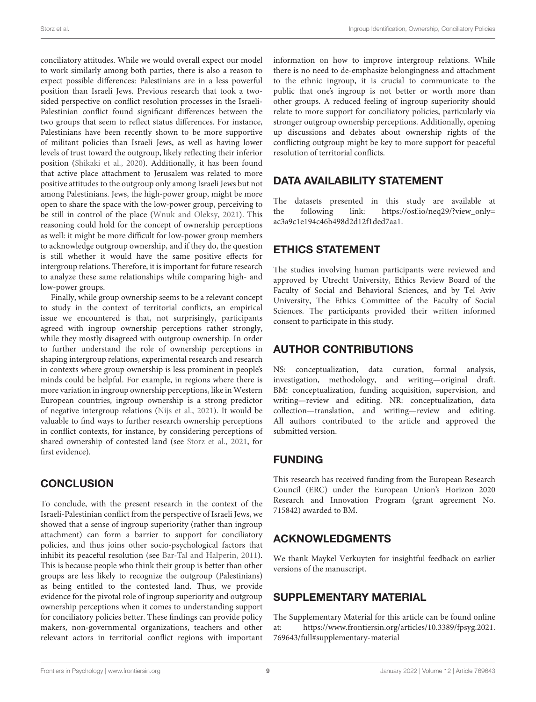conciliatory attitudes. While we would overall expect our model to work similarly among both parties, there is also a reason to expect possible differences: Palestinians are in a less powerful position than Israeli Jews. Previous research that took a twosided perspective on conflict resolution processes in the Israeli-Palestinian conflict found significant differences between the two groups that seem to reflect status differences. For instance, Palestinians have been recently shown to be more supportive of militant policies than Israeli Jews, as well as having lower levels of trust toward the outgroup, likely reflecting their inferior position [\(Shikaki et al.,](#page-10-18) [2020\)](#page-10-18). Additionally, it has been found that active place attachment to Jerusalem was related to more positive attitudes to the outgroup only among Israeli Jews but not among Palestinians. Jews, the high-power group, might be more open to share the space with the low-power group, perceiving to be still in control of the place [\(Wnuk and Oleksy,](#page-10-19) [2021\)](#page-10-19). This reasoning could hold for the concept of ownership perceptions as well: it might be more difficult for low-power group members to acknowledge outgroup ownership, and if they do, the question is still whether it would have the same positive effects for intergroup relations. Therefore, it is important for future research to analyze these same relationships while comparing high- and low-power groups.

Finally, while group ownership seems to be a relevant concept to study in the context of territorial conflicts, an empirical issue we encountered is that, not surprisingly, participants agreed with ingroup ownership perceptions rather strongly, while they mostly disagreed with outgroup ownership. In order to further understand the role of ownership perceptions in shaping intergroup relations, experimental research and research in contexts where group ownership is less prominent in people's minds could be helpful. For example, in regions where there is more variation in ingroup ownership perceptions, like in Western European countries, ingroup ownership is a strong predictor of negative intergroup relations [\(Nijs et al.,](#page-9-8) [2021\)](#page-9-8). It would be valuable to find ways to further research ownership perceptions in conflict contexts, for instance, by considering perceptions of shared ownership of contested land (see [Storz et al.,](#page-10-8) [2021,](#page-10-8) for first evidence).

# **CONCLUSION**

To conclude, with the present research in the context of the Israeli-Palestinian conflict from the perspective of Israeli Jews, we showed that a sense of ingroup superiority (rather than ingroup attachment) can form a barrier to support for conciliatory policies, and thus joins other socio-psychological factors that inhibit its peaceful resolution (see [Bar-Tal and Halperin,](#page-9-1) [2011\)](#page-9-1). This is because people who think their group is better than other groups are less likely to recognize the outgroup (Palestinians) as being entitled to the contested land. Thus, we provide evidence for the pivotal role of ingroup superiority and outgroup ownership perceptions when it comes to understanding support for conciliatory policies better. These findings can provide policy makers, non-governmental organizations, teachers and other relevant actors in territorial conflict regions with important

information on how to improve intergroup relations. While there is no need to de-emphasize belongingness and attachment to the ethnic ingroup, it is crucial to communicate to the public that one's ingroup is not better or worth more than other groups. A reduced feeling of ingroup superiority should relate to more support for conciliatory policies, particularly via stronger outgroup ownership perceptions. Additionally, opening up discussions and debates about ownership rights of the conflicting outgroup might be key to more support for peaceful resolution of territorial conflicts.

## DATA AVAILABILITY STATEMENT

The datasets presented in this study are available at the following link: https://osf.io/neq29/?view\_only= the following link: [https://osf.io/neq29/?view\\_only=](https://osf.io/neq29/?view_only=ac3a9c1e194c46b498d2d12f1ded7aa1) [ac3a9c1e194c46b498d2d12f1ded7aa1.](https://osf.io/neq29/?view_only=ac3a9c1e194c46b498d2d12f1ded7aa1)

## ETHICS STATEMENT

The studies involving human participants were reviewed and approved by Utrecht University, Ethics Review Board of the Faculty of Social and Behavioral Sciences, and by Tel Aviv University, The Ethics Committee of the Faculty of Social Sciences. The participants provided their written informed consent to participate in this study.

# AUTHOR CONTRIBUTIONS

NS: conceptualization, data curation, formal analysis, investigation, methodology, and writing—original draft. BM: conceptualization, funding acquisition, supervision, and writing—review and editing. NR: conceptualization, data collection—translation, and writing—review and editing. All authors contributed to the article and approved the submitted version.

# FUNDING

This research has received funding from the European Research Council (ERC) under the European Union's Horizon 2020 Research and Innovation Program (grant agreement No. 715842) awarded to BM.

# ACKNOWLEDGMENTS

We thank Maykel Verkuyten for insightful feedback on earlier versions of the manuscript.

## <span id="page-8-0"></span>SUPPLEMENTARY MATERIAL

The Supplementary Material for this article can be found online at: [https://www.frontiersin.org/articles/10.3389/fpsyg.2021.](https://www.frontiersin.org/articles/10.3389/fpsyg.2021.769643/full#supplementary-material) [769643/full#supplementary-material](https://www.frontiersin.org/articles/10.3389/fpsyg.2021.769643/full#supplementary-material)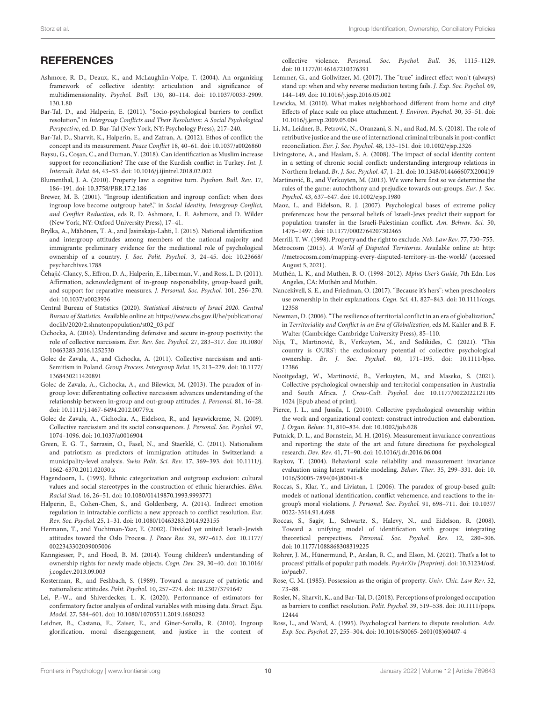## **REFERENCES**

- <span id="page-9-9"></span>Ashmore, R. D., Deaux, K., and McLaughlin-Volpe, T. (2004). An organizing framework of collective identity: articulation and significance of multidimensionality. Psychol. Bull. 130, 80–114. [doi: 10.1037/0033-2909.](https://doi.org/10.1037/0033-2909.130.1.80) [130.1.80](https://doi.org/10.1037/0033-2909.130.1.80)
- <span id="page-9-1"></span>Bar-Tal, D., and Halperin, E. (2011). "Socio-psychological barriers to conflict resolution," in Intergroup Conflicts and Their Resolution: A Social Psychological Perspective, ed. D. Bar-Tal (New York, NY: Psychology Press), 217–240.
- <span id="page-9-6"></span>Bar-Tal, D., Sharvit, K., Halperin, E., and Zafran, A. (2012). Ethos of conflict: the concept and its measurement. Peace Conflict 18, 40–61. [doi: 10.1037/a0026860](https://doi.org/10.1037/a0026860)
- <span id="page-9-3"></span>Baysu, G., Coşan, C., and Duman, Y. (2018). Can identification as Muslim increase support for reconciliation? The case of the Kurdish conflict in Turkey. Int. J. Intercult. Relat. 64, 43–53. [doi: 10.1016/j.ijintrel.2018.02.002](https://doi.org/10.1016/j.ijintrel.2018.02.002)
- <span id="page-9-28"></span>Blumenthal, J. A. (2010). Property law: a cognitive turn. Psychon. Bull. Rev. 17, 186–191. [doi: 10.3758/PBR.17.2.186](https://doi.org/10.3758/PBR.17.2.186)
- <span id="page-9-24"></span>Brewer, M. B. (2001). "Ingroup identification and ingroup conflict: when does ingroup love become outgroup hate?," in Social Identity, Intergroup Conflict, and Conflict Reduction, eds R. D. Ashmore, L. E. Ashmore, and D. Wilder (New York, NY: Oxford University Press), 17–41.
- <span id="page-9-7"></span>Brylka, A., Mähönen, T. A., and Jasinskaja-Lahti, I. (2015). National identification and intergroup attitudes among members of the national majority and immigrants: preliminary evidence for the mediational role of psychological ownership of a country. J. Soc. Polit. Psychol. 3, 24–45. [doi: 10.23668/](https://doi.org/10.23668/psycharchives.1788) [psycharchives.1788](https://doi.org/10.23668/psycharchives.1788)
- <span id="page-9-16"></span>Čehajić-Clancy, S., Effron, D. A., Halperin, E., Liberman, V., and Ross, L. D. (2011). Affirmation, acknowledgment of in-group responsibility, group-based guilt, and support for reparative measures. J. Personal. Soc. Psychol. 101, 256–270. [doi: 10.1037/a0023936](https://doi.org/10.1037/a0023936)
- <span id="page-9-30"></span>Central Bureau of Statistics (2020). Statistical Abstracts of Israel 2020. Central Bureau of Statistics. Available online at: [https://www.cbs.gov.il/he/publications/](https://www.cbs.gov.il/he/publications/doclib/2020/2.shnatonpopulation/st02_03.pdf) [doclib/2020/2.shnatonpopulation/st02\\_03.pdf](https://www.cbs.gov.il/he/publications/doclib/2020/2.shnatonpopulation/st02_03.pdf)
- <span id="page-9-10"></span>Cichocka, A. (2016). Understanding defensive and secure in-group positivity: the role of collective narcissism. Eur. Rev. Soc. Psychol. 27, 283–317. [doi: 10.1080/](https://doi.org/10.1080/10463283.2016.1252530) [10463283.2016.1252530](https://doi.org/10.1080/10463283.2016.1252530)
- <span id="page-9-12"></span>Golec de Zavala, A., and Cichocka, A. (2011). Collective narcissism and anti-Semitism in Poland. Group Process. Intergroup Relat. 15, 213–229. [doi: 10.1177/](https://doi.org/10.1177/1368430211420891) [1368430211420891](https://doi.org/10.1177/1368430211420891)
- <span id="page-9-38"></span>Golec de Zavala, A., Cichocka, A., and Bilewicz, M. (2013). The paradox of ingroup love: differentiating collective narcissism advances understanding of the relationship between in-group and out-group attitudes. J. Personal. 81, 16–28. [doi: 10.1111/j.1467-6494.2012.00779.x](https://doi.org/10.1111/j.1467-6494.2012.00779.x)
- <span id="page-9-4"></span>Golec de Zavala, A., Cichocka, A., Eidelson, R., and Jayawickreme, N. (2009). Collective narcissism and its social consequences. J. Personal. Soc. Psychol. 97, 1074–1096. [doi: 10.1037/a0016904](https://doi.org/10.1037/a0016904)
- <span id="page-9-13"></span>Green, E. G. T., Sarrasin, O., Fasel, N., and Staerklé, C. (2011). Nationalism and patriotism as predictors of immigration attitudes in Switzerland: a municipality-level analysis. Swiss Polit. Sci. Rev. 17, 369–393. [doi: 10.1111/j.](https://doi.org/10.1111/j.1662-6370.2011.02030.x) [1662-6370.2011.02030.x](https://doi.org/10.1111/j.1662-6370.2011.02030.x)
- <span id="page-9-26"></span>Hagendoorn, L. (1993). Ethnic categorization and outgroup exclusion: cultural values and social stereotypes in the construction of ethnic hierarchies. Ethn. Racial Stud. 16, 26–51. [doi: 10.1080/01419870.1993.9993771](https://doi.org/10.1080/01419870.1993.9993771)
- <span id="page-9-17"></span>Halperin, E., Cohen-Chen, S., and Goldenberg, A. (2014). Indirect emotion regulation in intractable conflicts: a new approach to conflict resolution. Eur. Rev. Soc. Psychol. 25, 1–31. [doi: 10.1080/10463283.2014.923155](https://doi.org/10.1080/10463283.2014.923155)
- <span id="page-9-33"></span>Hermann, T., and Yuchtman-Yaar, E. (2002). Divided yet united: Israeli-Jewish attitudes toward the Oslo Process. J. Peace Res. 39, 597–613. [doi: 10.1177/](https://doi.org/10.1177/0022343302039005006) [0022343302039005006](https://doi.org/10.1177/0022343302039005006)
- <span id="page-9-22"></span>Kanngiesser, P., and Hood, B. M. (2014). Young children's understanding of ownership rights for newly made objects. Cogn. Dev. 29, 30–40. [doi: 10.1016/](https://doi.org/10.1016/j.cogdev.2013.09.003) [j.cogdev.2013.09.003](https://doi.org/10.1016/j.cogdev.2013.09.003)
- <span id="page-9-11"></span>Kosterman, R., and Feshbach, S. (1989). Toward a measure of patriotic and nationalistic attitudes. Polit. Psychol. 10, 257–274. [doi: 10.2307/3791647](https://doi.org/10.2307/3791647)
- <span id="page-9-37"></span>Lei, P.-W., and Shiverdecker, L. K. (2020). Performance of estimators for confirmatory factor analysis of ordinal variables with missing data. Struct. Equ. Model. 27, 584–601. [doi: 10.1080/10705511.2019.1680292](https://doi.org/10.1080/10705511.2019.1680292)
- <span id="page-9-15"></span>Leidner, B., Castano, E., Zaiser, E., and Giner-Sorolla, R. (2010). Ingroup glorification, moral disengagement, and justice in the context of

collective violence. Personal. Soc. Psychol. Bull. 36, 1115–1129. [doi: 10.1177/0146167210376391](https://doi.org/10.1177/0146167210376391)

- <span id="page-9-41"></span>Lemmer, G., and Gollwitzer, M. (2017). The "true" indirect effect won't (always) stand up: when and why reverse mediation testing fails. J. Exp. Soc. Psychol. 69, 144–149. [doi: 10.1016/j.jesp.2016.05.002](https://doi.org/10.1016/j.jesp.2016.05.002)
- <span id="page-9-32"></span>Lewicka, M. (2010). What makes neighborhood different from home and city? Effects of place scale on place attachment. J. Environ. Psychol. 30, 35–51. [doi:](https://doi.org/10.1016/j.jenvp.2009.05.004) [10.1016/j.jenvp.2009.05.004](https://doi.org/10.1016/j.jenvp.2009.05.004)
- <span id="page-9-19"></span>Li, M., Leidner, B., Petrović, N., Oranzani, S. N., and Rad, M. S. (2018). The role of retributive justice and the use of international criminal tribunals in post-conflict reconciliation. Eur. J. Soc. Psychol. 48, 133–151. [doi: 10.1002/ejsp.2326](https://doi.org/10.1002/ejsp.2326)
- <span id="page-9-25"></span>Livingstone, A., and Haslam, S. A. (2008). The impact of social identity content in a setting of chronic social conflict: understanding intergroup relations in Northern Ireland. Br. J. Soc. Psychol. 47, 1–21. [doi: 10.1348/014466607X200419](https://doi.org/10.1348/014466607X200419)
- <span id="page-9-40"></span>Martinović, B., and Verkuyten, M. (2013). We were here first so we determine the rules of the game: autochthony and prejudice towards out-groups. Eur. J. Soc. Psychol. 43, 637–647. [doi: 10.1002/ejsp.1980](https://doi.org/10.1002/ejsp.1980)
- <span id="page-9-34"></span>Maoz, I., and Eidelson, R. J. (2007). Psychological bases of extreme policy preferences: how the personal beliefs of Israeli-Jews predict their support for population transfer in the Israeli-Palestinian conflict. Am. Behvav. Sci. 50, 1476–1497. [doi: 10.1177/0002764207302465](https://doi.org/10.1177/0002764207302465)

<span id="page-9-21"></span>Merrill, T. W. (1998). Property and the right to exclude. Neb. Law Rev. 77, 730–755.

- <span id="page-9-0"></span>Metrocosm (2015). A World of Disputed Territories. Available online at: [http:](http://metrocosm.com/mapping-every-disputed-territory-in-the-world/) [//metrocosm.com/mapping-every-disputed-territory-in-the-world/](http://metrocosm.com/mapping-every-disputed-territory-in-the-world/) (accessed August 5, 2021).
- <span id="page-9-36"></span>Muthén, L. K., and Muthén, B. O. (1998–2012). Mplus User's Guide, 7th Edn. Los Angeles, CA: Muthén and Muthén.
- <span id="page-9-23"></span>Nancekivell, S. E., and Friedman, O. (2017). "Because it's hers": when preschoolers use ownership in their explanations. Cogn. Sci. 41, 827–843. [doi: 10.1111/cogs.](https://doi.org/10.1111/cogs.12358) [12358](https://doi.org/10.1111/cogs.12358)
- <span id="page-9-27"></span>Newman, D. (2006). "The resilience of territorial conflict in an era of globalization," in Territoriality and Conflict in an Era of Globalization, eds M. Kahler and B. F. Walter (Cambridge: Cambridge University Press), 85–110.
- <span id="page-9-8"></span>Nijs, T., Martinović, B., Verkuyten, M., and Sedikides, C. (2021). 'This country is OURS': the exclusionary potential of collective psychological ownership. Br. J. Soc. Psychol. 60, 171–195. [doi: 10.1111/bjso.](https://doi.org/10.1111/bjso.12386) [12386](https://doi.org/10.1111/bjso.12386)
- <span id="page-9-29"></span>Nooitgedagt, W., Martinović, B., Verkuyten, M., and Maseko, S. (2021). Collective psychological ownership and territorial compensation in Australia and South Africa. J. Cross-Cult. Psychol. [doi: 10.1177/0022022121105](https://doi.org/10.1177/00220221211051024) [1024](https://doi.org/10.1177/00220221211051024) [Epub ahead of print].
- <span id="page-9-39"></span>Pierce, J. L., and Jussila, I. (2010). Collective psychological ownership within the work and organizational context: construct introduction and elaboration. J. Organ. Behav. 31, 810–834. [doi: 10.1002/job.628](https://doi.org/10.1002/job.628)
- <span id="page-9-35"></span>Putnick, D. L., and Bornstein, M. H. (2016). Measurement invariance conventions and reporting: the state of the art and future directions for psychological research. Dev. Rev. 41, 71–90. [doi: 10.1016/j.dr.2016.06.004](https://doi.org/10.1016/j.dr.2016.06.004)
- <span id="page-9-31"></span>Raykov, T. (2004). Behavioral scale reliability and measurement invariance evaluation using latent variable modeling. Behav. Ther. 35, 299–331. [doi: 10.](https://doi.org/10.1016/S0005-7894(04)80041-8) [1016/S0005-7894\(04\)80041-8](https://doi.org/10.1016/S0005-7894(04)80041-8)
- <span id="page-9-14"></span>Roccas, S., Klar, Y., and Liviatan, I. (2006). The paradox of group-based guilt: models of national identification, conflict vehemence, and reactions to the ingroup's moral violations. J. Personal. Soc. Psychol. 91, 698–711. [doi: 10.1037/](https://doi.org/10.1037/0022-3514.91.4.698) [0022-3514.91.4.698](https://doi.org/10.1037/0022-3514.91.4.698)
- <span id="page-9-5"></span>Roccas, S., Sagiv, L., Schwartz, S., Halevy, N., and Eidelson, R. (2008). Toward a unifying model of identification with groups: integrating theoretical perspectives. Personal. Soc. Psychol. Rev. 12, 280–306. [doi: 10.1177/1088868308319225](https://doi.org/10.1177/1088868308319225)
- <span id="page-9-42"></span>Rohrer, J. M., Hünermund, P., Arslan, R. C., and Elson, M. (2021). That's a lot to process! pitfalls of popular path models. PsyArXiv [Preprint]. [doi: 10.31234/osf.](https://doi.org/10.31234/osf.io/paeb7.) [io/paeb7.](https://doi.org/10.31234/osf.io/paeb7.)
- <span id="page-9-20"></span>Rose, C. M. (1985). Possession as the origin of property. Univ. Chic. Law Rev. 52, 73–88.
- <span id="page-9-18"></span>Rosler, N., Sharvit, K., and Bar-Tal, D. (2018). Perceptions of prolonged occupation as barriers to conflict resolution. Polit. Psychol. 39, 519–538. [doi: 10.1111/pops.](https://doi.org/10.1111/pops.12444) [12444](https://doi.org/10.1111/pops.12444)
- <span id="page-9-2"></span>Ross, L., and Ward, A. (1995). Psychological barriers to dispute resolution. Adv. Exp. Soc. Psychol. 27, 255–304. [doi: 10.1016/S0065-2601\(08\)60407-4](https://doi.org/10.1016/S0065-2601(08)60407-4)